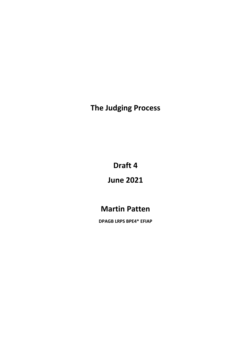**The Judging Process**

**Draft 4**

# **June 2021**

# **Martin Patten**

**DPAGB LRPS BPE4\* EFIAP**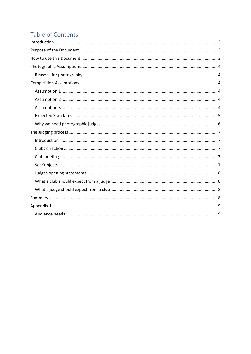# Table of Contents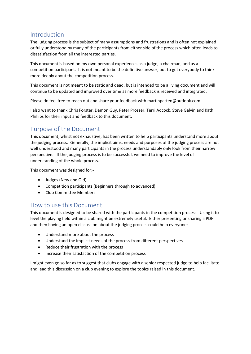### <span id="page-2-0"></span>Introduction

The judging process is the subject of many assumptions and frustrations and is often not explained or fully understood by many of the participants from either side of the process which often leads to dissatisfaction from all the interested parties.

This document is based on my own personal experiences as a judge, a chairman, and as a competition participant. It is not meant to be the definitive answer, but to get everybody to think more deeply about the competition process.

This document is not meant to be static and dead, but is intended to be a living document and will continue to be updated and improved over time as more feedback is received and integrated.

Please do feel free to reach out and share your feedback with martinpatten@outlook.com

I also want to thank Chris Forster, Damon Guy, Peter Prosser, Terri Adcock, Steve Galvin and Kath Phillips for their input and feedback to this document.

## <span id="page-2-1"></span>Purpose of the Document

This document, whilst not exhaustive, has been written to help participants understand more about the judging process. Generally, the implicit aims, needs and purposes of the judging process are not well understood and many participants in the process understandably only look from their narrow perspective. If the judging process is to be successful, we need to improve the level of understanding of the whole process.

This document was designed for:-

- Judges (New and Old)
- Competition participants (Beginners through to advanced)
- Club Committee Members

### <span id="page-2-2"></span>How to use this Document

This document is designed to be shared with the participants in the competition process. Using it to level the playing field within a club might be extremely useful. Either presenting or sharing a PDF and then having an open discussion about the judging process could help everyone: -

- Understand more about the process
- Understand the implicit needs of the process from different perspectives
- Reduce their frustration with the process
- Increase their satisfaction of the competition process

I might even go so far as to suggest that clubs engage with a senior respected judge to help facilitate and lead this discussion on a club evening to explore the topics raised in this document.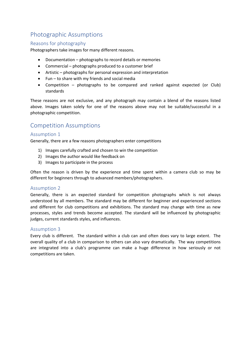## <span id="page-3-0"></span>Photographic Assumptions

#### <span id="page-3-1"></span>Reasons for photography

Photographers take images for many different reasons.

- Documentation photographs to record details or memories
- Commercial photographs produced to a customer brief
- Artistic photographs for personal expression and interpretation
- $\bullet$  Fun to share with my friends and social media
- Competition photographs to be compared and ranked against expected (or Club) standards

These reasons are not exclusive, and any photograph may contain a blend of the reasons listed above. Images taken solely for one of the reasons above may not be suitable/successful in a photographic competition.

### <span id="page-3-2"></span>Competition Assumptions

#### <span id="page-3-3"></span>Assumption 1

Generally, there are a few reasons photographers enter competitions

- 1) Images carefully crafted and chosen to win the competition
- 2) Images the author would like feedback on
- 3) Images to participate in the process

Often the reason is driven by the experience and time spent within a camera club so may be different for beginners through to advanced members/photographers.

#### <span id="page-3-4"></span>Assumption 2

Generally, there is an expected standard for competition photographs which is not always understood by all members. The standard may be different for beginner and experienced sections and different for club competitions and exhibitions. The standard may change with time as new processes, styles and trends become accepted. The standard will be influenced by photographic judges, current standards styles, and influences.

#### <span id="page-3-5"></span>Assumption 3

Every club is different. The standard within a club can and often does vary to large extent. The overall quality of a club in comparison to others can also vary dramatically. The way competitions are integrated into a club's programme can make a huge difference in how seriously or not competitions are taken.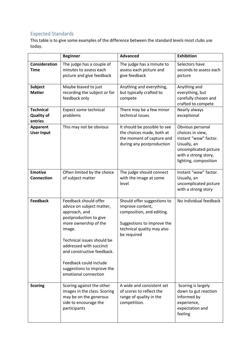### <span id="page-4-0"></span>Expected Standards

This table is to give some examples of the difference between the standard levels most clubs use today.

|                                                  | <b>Beginner</b>                                                                                                                                                                                                                                                                                         | <b>Advanced</b>                                                                                                                                         | <b>Exhibition</b>                                                                                                                                      |
|--------------------------------------------------|---------------------------------------------------------------------------------------------------------------------------------------------------------------------------------------------------------------------------------------------------------------------------------------------------------|---------------------------------------------------------------------------------------------------------------------------------------------------------|--------------------------------------------------------------------------------------------------------------------------------------------------------|
| Consideration<br><b>Time</b>                     | The judge has a couple of<br>minutes to assess each<br>picture and give feedback                                                                                                                                                                                                                        | The judge has a minute to<br>assess each picture and<br>give feedback                                                                                   | Selectors have<br>seconds to assess each<br>picture                                                                                                    |
| <b>Subject</b><br><b>Matter</b>                  | Maybe biased to just<br>recording the subject or for<br>feedback only                                                                                                                                                                                                                                   | Anything and everything,<br>but typically crafted to<br>compete                                                                                         | Anything and<br>everything, but<br>carefully chosen and<br>crafted to compete                                                                          |
| <b>Technical</b><br><b>Quality of</b><br>entries | Expect some technical<br>problems                                                                                                                                                                                                                                                                       | There may be a few minor<br>technical issues                                                                                                            | Nearly always<br>exceptional                                                                                                                           |
| <b>Apparent</b><br><b>User Input</b>             | This may not be obvious                                                                                                                                                                                                                                                                                 | It should be possible to see<br>the choices made, both at<br>the moment of capture and<br>during any postproduction                                     | Obvious personal<br>choices in view,<br>instant "wow" factor.<br>Usually, an<br>uncomplicated picture<br>with a strong story,<br>lighting, composition |
| <b>Emotive</b><br><b>Connection</b>              | Often limited by the choice<br>of subject matter                                                                                                                                                                                                                                                        | The judge should connect<br>with the image at some<br>level                                                                                             | Instant "wow" factor.<br>Usually, an<br>uncomplicated picture<br>with a strong story                                                                   |
| <b>Feedback</b>                                  | Feedback should offer<br>advice on subject matter,<br>approach, and<br>postproduction to give<br>more ownership of the<br>image.<br>Technical issues should be<br>addressed with succinct<br>and constructive feedback.<br>Feedback could include<br>suggestions to improve the<br>emotional connection | Should offer suggestions to<br>improve content,<br>composition, and editing.<br>Suggestions to improve the<br>technical quality may also<br>be required | No individual feedback                                                                                                                                 |
| <b>Scoring</b>                                   | Scoring against the other<br>images in the class. Scoring<br>may be on the generous<br>side to encourage the<br>participants                                                                                                                                                                            | A wide and consistent set<br>of scores to reflect the<br>range of quality in the<br>competition.                                                        | Scoring is largely<br>down to gut reaction<br>informed by<br>experience,<br>expectation and<br>feeling                                                 |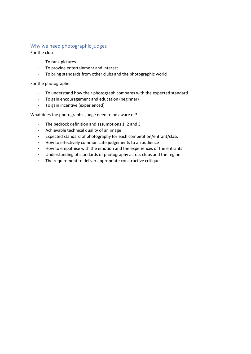#### <span id="page-5-0"></span>Why we need photographic judges

For the club

- · To rank pictures
- · To provide entertainment and interest
- · To bring standards from other clubs and the photographic world

For the photographer

- · To understand how their photograph compares with the expected standard
- · To gain encouragement and education (beginner)
- · To gain incentive (experienced)

What does the photographic judge need to be aware of?

- · The bedrock definition and assumptions 1, 2 and 3
- · Achievable technical quality of an image
- · Expected standard of photography for each competition/entrant/class
- · How to effectively communicate judgements to an audience
- How to empathise with the emotion and the experiences of the entrants
- · Understanding of standards of photography across clubs and the region
- · The requirement to deliver appropriate constructive critique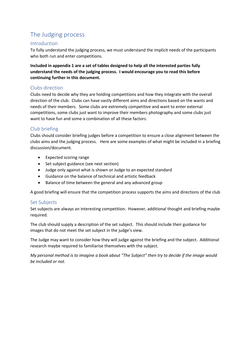## <span id="page-6-0"></span>The Judging process

#### <span id="page-6-1"></span>Introduction

To fully understand the judging process, we must understand the implicit needs of the participants who both run and enter competitions.

**Included in appendix 1 are a set of tables designed to help all the interested parties fully understand the needs of the judging process. I would encourage you to read this before continuing further in this document.**

#### <span id="page-6-2"></span>Clubs direction

Clubs need to decide why they are holding competitions and how they integrate with the overall direction of the club. Clubs can have vastly different aims and directions based on the wants and needs of their members. Some clubs are extremely competitive and want to enter external competitions, some clubs just want to improve their members photography and some clubs just want to have fun and some a combination of all these factors.

#### <span id="page-6-3"></span>Club briefing

Clubs should consider briefing judges before a competition to ensure a close alignment between the clubs aims and the judging process. Here are some examples of what might be included in a briefing discussion/document.

- Expected scoring range
- Set subject guidance (see next section)
- Judge only against what is shown or Judge to an expected standard
- Guidance on the balance of technical and artistic feedback
- Balance of time between the general and any advanced group

A good briefing will ensure that the competition process supports the aims and directions of the club

#### <span id="page-6-4"></span>Set Subjects

Set subjects are always an interesting competition. However, additional thought and briefing maybe required.

The club should supply a description of the set subject. This should include their guidance for images that do not meet the set subject in the judge's view.

The Judge may want to consider how they will judge against the briefing and the subject. Additional research maybe required to familiarise themselves with the subject.

*My personal method is to imagine a book about "The Subject" then try to decide if the image would be included or not.*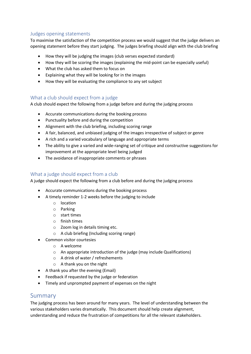#### <span id="page-7-0"></span>Judges opening statements

To maximise the satisfaction of the competition process we would suggest that the judge delivers an opening statement before they start judging. The judges briefing should align with the club briefing

- How they will be judging the images (club verses expected standard)
- How they will be scoring the images (explaining the mid-point can be especially useful)
- What the club has asked them to focus on
- Explaining what they will be looking for in the images
- How they will be evaluating the compliance to any set subject

#### <span id="page-7-1"></span>What a club should expect from a judge

A club should expect the following from a judge before and during the judging process

- Accurate communications during the booking process
- Punctuality before and during the competition
- Alignment with the club briefing, including scoring range
- A fair, balanced, and unbiased judging of the images irrespective of subject or genre
- A rich and a varied vocabulary of language and appropriate terms
- The ability to give a varied and wide-ranging set of critique and constructive suggestions for improvement at the appropriate level being judged
- The avoidance of inappropriate comments or phrases

#### <span id="page-7-2"></span>What a judge should expect from a club

A judge should expect the following from a club before and during the judging process

- Accurate communications during the booking process
- A timely reminder 1-2 weeks before the judging to include
	- o location
	- o Parking
	- o start times
	- o finish times
	- o Zoom log in details timing etc.
	- o A club briefing (Including scoring range)
- Common visitor courtesies
	- o A welcome
	- o An appropriate introduction of the judge (may include Qualifications)
	- o A drink of water / refreshements
	- o A thank you on the night
- A thank you after the evening (Email)
- Feedback if requested by the judge or federation
- Timely and unprompted payment of expenses on the night

#### <span id="page-7-3"></span>Summary

The judging process has been around for many years. The level of understanding between the various stakeholders varies dramatically. This document should help create alignment, understanding and reduce the frustration of competitions for all the relevant stakeholders.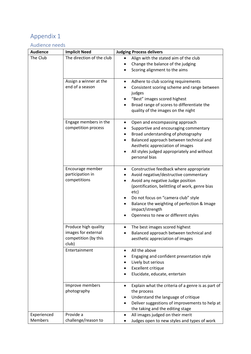# <span id="page-8-0"></span>Appendix 1

## <span id="page-8-1"></span>Audience needs

| <b>Audience</b>        | <b>Implicit Need</b>             | <b>Judging Process delivers</b>                                                                                                                                                    |
|------------------------|----------------------------------|------------------------------------------------------------------------------------------------------------------------------------------------------------------------------------|
| The Club               | The direction of the club        | Align with the stated aim of the club                                                                                                                                              |
|                        |                                  | Change the balance of the judging                                                                                                                                                  |
|                        |                                  | Scoring alignment to the aims                                                                                                                                                      |
|                        | Assign a winner at the           | Adhere to club scoring requirements<br>$\bullet$                                                                                                                                   |
|                        | end of a season                  | Consistent scoring scheme and range between                                                                                                                                        |
|                        |                                  | judges                                                                                                                                                                             |
|                        |                                  | "Best" images scored highest                                                                                                                                                       |
|                        |                                  | Broad range of scores to differentiate the                                                                                                                                         |
|                        |                                  | quality of the images on the night                                                                                                                                                 |
|                        | Engage members in the            | Open and encompassing approach<br>٠                                                                                                                                                |
|                        | competition process              | Supportive and encouraging commentary                                                                                                                                              |
|                        |                                  | Broad understanding of photography<br>٠                                                                                                                                            |
|                        |                                  | Balanced approach between technical and<br>٠                                                                                                                                       |
|                        |                                  | Aesthetic appreciation of images                                                                                                                                                   |
|                        |                                  | All styles judged appropriately and without<br>personal bias                                                                                                                       |
|                        |                                  |                                                                                                                                                                                    |
|                        | Encourage member                 | Constructive feedback where appropriate<br>٠                                                                                                                                       |
|                        | participation in                 | Avoid negative/destructive commentary                                                                                                                                              |
|                        | competitions                     | Avoid any negative Judge position                                                                                                                                                  |
|                        |                                  | (pontification, belittling of work, genre bias                                                                                                                                     |
|                        |                                  | etc)                                                                                                                                                                               |
|                        |                                  | Do not focus on "camera club" style<br>Balance the weighting of perfection & Image<br>$\bullet$                                                                                    |
|                        |                                  | impact/strength                                                                                                                                                                    |
|                        |                                  | Openness to new or different styles                                                                                                                                                |
|                        |                                  |                                                                                                                                                                                    |
|                        | Produce high quality             | The best images scored highest<br>٠                                                                                                                                                |
|                        | images for external              | Balanced approach between technical and                                                                                                                                            |
|                        | competition (by this<br>club)    | aesthetic appreciation of images                                                                                                                                                   |
|                        | Entertainment                    | All the above<br>$\bullet$                                                                                                                                                         |
|                        |                                  | Engaging and confident presentation style                                                                                                                                          |
|                        |                                  | Lively but serious                                                                                                                                                                 |
|                        |                                  | <b>Excellent critique</b>                                                                                                                                                          |
|                        |                                  | Elucidate, educate, entertain                                                                                                                                                      |
|                        | Improve members                  | Explain what the criteria of a genre is as part of<br>$\bullet$                                                                                                                    |
|                        | photography                      | the process                                                                                                                                                                        |
|                        |                                  | Understand the language of critique<br>٠                                                                                                                                           |
|                        |                                  |                                                                                                                                                                                    |
|                        |                                  |                                                                                                                                                                                    |
|                        |                                  |                                                                                                                                                                                    |
| Experienced<br>Members | Provide a<br>challenge/reason to | Deliver suggestions of improvements to help at<br>the taking and the editing stage<br>All images judged on their merit<br>$\bullet$<br>Judges open to new styles and types of work |